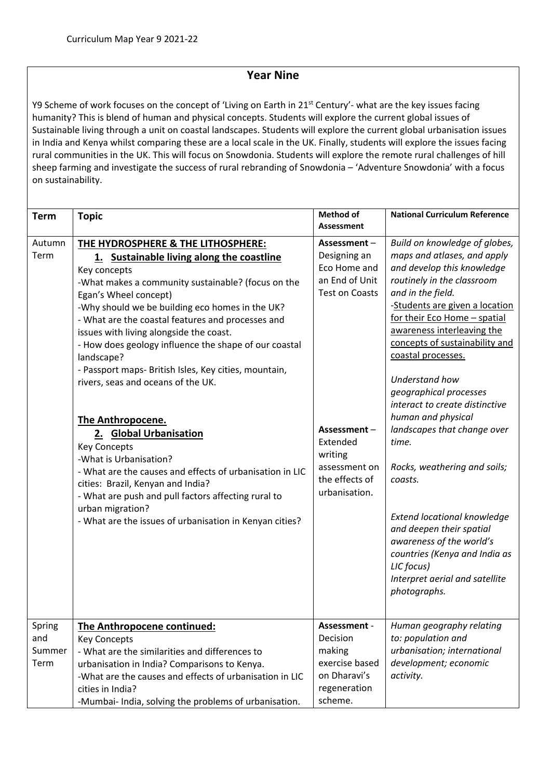## **Year Nine**

Y9 Scheme of work focuses on the concept of 'Living on Earth in 21<sup>st</sup> Century'- what are the key issues facing humanity? This is blend of human and physical concepts. Students will explore the current global issues of Sustainable living through a unit on coastal landscapes. Students will explore the current global urbanisation issues in India and Kenya whilst comparing these are a local scale in the UK. Finally, students will explore the issues facing rural communities in the UK. This will focus on Snowdonia. Students will explore the remote rural challenges of hill sheep farming and investigate the success of rural rebranding of Snowdonia – 'Adventure Snowdonia' with a focus on sustainability.

| Assessment<br>Autumn<br>Assessment-<br>THE HYDROSPHERE & THE LITHOSPHERE:<br>maps and atlases, and apply<br>Term<br>Designing an<br>1. Sustainable living along the coastline<br>Eco Home and<br>and develop this knowledge<br>Key concepts<br>an End of Unit<br>routinely in the classroom<br>-What makes a community sustainable? (focus on the<br><b>Test on Coasts</b><br>and in the field.<br>Egan's Wheel concept)<br>-Students are given a location<br>-Why should we be building eco homes in the UK?<br>for their Eco Home - spatial<br>- What are the coastal features and processes and<br>awareness interleaving the<br>issues with living alongside the coast.<br>concepts of sustainability and<br>- How does geology influence the shape of our coastal<br>coastal processes.<br>landscape?<br>- Passport maps- British Isles, Key cities, mountain,<br>Understand how<br>rivers, seas and oceans of the UK.<br>geographical processes<br>interact to create distinctive<br>human and physical<br>The Anthropocene.<br>landscapes that change over<br>Assessment-<br>2. Global Urbanisation<br>Extended<br>time.<br><b>Key Concepts</b><br>writing<br>-What is Urbanisation?<br>assessment on<br>Rocks, weathering and soils;<br>- What are the causes and effects of urbanisation in LIC<br>the effects of<br>coasts.<br>cities: Brazil, Kenyan and India?<br>urbanisation.<br>- What are push and pull factors affecting rural to<br>urban migration?<br>Extend locational knowledge<br>- What are the issues of urbanisation in Kenyan cities?<br>and deepen their spatial<br>awareness of the world's<br>countries (Kenya and India as | <b>Term</b> | <b>Topic</b> | <b>Method of</b> | <b>National Curriculum Reference</b> |
|-----------------------------------------------------------------------------------------------------------------------------------------------------------------------------------------------------------------------------------------------------------------------------------------------------------------------------------------------------------------------------------------------------------------------------------------------------------------------------------------------------------------------------------------------------------------------------------------------------------------------------------------------------------------------------------------------------------------------------------------------------------------------------------------------------------------------------------------------------------------------------------------------------------------------------------------------------------------------------------------------------------------------------------------------------------------------------------------------------------------------------------------------------------------------------------------------------------------------------------------------------------------------------------------------------------------------------------------------------------------------------------------------------------------------------------------------------------------------------------------------------------------------------------------------------------------------------------------------------------------------------------------------------------|-------------|--------------|------------------|--------------------------------------|
|                                                                                                                                                                                                                                                                                                                                                                                                                                                                                                                                                                                                                                                                                                                                                                                                                                                                                                                                                                                                                                                                                                                                                                                                                                                                                                                                                                                                                                                                                                                                                                                                                                                           |             |              |                  |                                      |
|                                                                                                                                                                                                                                                                                                                                                                                                                                                                                                                                                                                                                                                                                                                                                                                                                                                                                                                                                                                                                                                                                                                                                                                                                                                                                                                                                                                                                                                                                                                                                                                                                                                           |             |              |                  | Build on knowledge of globes,        |
|                                                                                                                                                                                                                                                                                                                                                                                                                                                                                                                                                                                                                                                                                                                                                                                                                                                                                                                                                                                                                                                                                                                                                                                                                                                                                                                                                                                                                                                                                                                                                                                                                                                           |             |              |                  |                                      |
|                                                                                                                                                                                                                                                                                                                                                                                                                                                                                                                                                                                                                                                                                                                                                                                                                                                                                                                                                                                                                                                                                                                                                                                                                                                                                                                                                                                                                                                                                                                                                                                                                                                           |             |              |                  |                                      |
|                                                                                                                                                                                                                                                                                                                                                                                                                                                                                                                                                                                                                                                                                                                                                                                                                                                                                                                                                                                                                                                                                                                                                                                                                                                                                                                                                                                                                                                                                                                                                                                                                                                           |             |              |                  |                                      |
|                                                                                                                                                                                                                                                                                                                                                                                                                                                                                                                                                                                                                                                                                                                                                                                                                                                                                                                                                                                                                                                                                                                                                                                                                                                                                                                                                                                                                                                                                                                                                                                                                                                           |             |              |                  |                                      |
|                                                                                                                                                                                                                                                                                                                                                                                                                                                                                                                                                                                                                                                                                                                                                                                                                                                                                                                                                                                                                                                                                                                                                                                                                                                                                                                                                                                                                                                                                                                                                                                                                                                           |             |              |                  |                                      |
|                                                                                                                                                                                                                                                                                                                                                                                                                                                                                                                                                                                                                                                                                                                                                                                                                                                                                                                                                                                                                                                                                                                                                                                                                                                                                                                                                                                                                                                                                                                                                                                                                                                           |             |              |                  |                                      |
|                                                                                                                                                                                                                                                                                                                                                                                                                                                                                                                                                                                                                                                                                                                                                                                                                                                                                                                                                                                                                                                                                                                                                                                                                                                                                                                                                                                                                                                                                                                                                                                                                                                           |             |              |                  |                                      |
|                                                                                                                                                                                                                                                                                                                                                                                                                                                                                                                                                                                                                                                                                                                                                                                                                                                                                                                                                                                                                                                                                                                                                                                                                                                                                                                                                                                                                                                                                                                                                                                                                                                           |             |              |                  |                                      |
|                                                                                                                                                                                                                                                                                                                                                                                                                                                                                                                                                                                                                                                                                                                                                                                                                                                                                                                                                                                                                                                                                                                                                                                                                                                                                                                                                                                                                                                                                                                                                                                                                                                           |             |              |                  |                                      |
|                                                                                                                                                                                                                                                                                                                                                                                                                                                                                                                                                                                                                                                                                                                                                                                                                                                                                                                                                                                                                                                                                                                                                                                                                                                                                                                                                                                                                                                                                                                                                                                                                                                           |             |              |                  |                                      |
|                                                                                                                                                                                                                                                                                                                                                                                                                                                                                                                                                                                                                                                                                                                                                                                                                                                                                                                                                                                                                                                                                                                                                                                                                                                                                                                                                                                                                                                                                                                                                                                                                                                           |             |              |                  |                                      |
|                                                                                                                                                                                                                                                                                                                                                                                                                                                                                                                                                                                                                                                                                                                                                                                                                                                                                                                                                                                                                                                                                                                                                                                                                                                                                                                                                                                                                                                                                                                                                                                                                                                           |             |              |                  |                                      |
|                                                                                                                                                                                                                                                                                                                                                                                                                                                                                                                                                                                                                                                                                                                                                                                                                                                                                                                                                                                                                                                                                                                                                                                                                                                                                                                                                                                                                                                                                                                                                                                                                                                           |             |              |                  |                                      |
|                                                                                                                                                                                                                                                                                                                                                                                                                                                                                                                                                                                                                                                                                                                                                                                                                                                                                                                                                                                                                                                                                                                                                                                                                                                                                                                                                                                                                                                                                                                                                                                                                                                           |             |              |                  |                                      |
|                                                                                                                                                                                                                                                                                                                                                                                                                                                                                                                                                                                                                                                                                                                                                                                                                                                                                                                                                                                                                                                                                                                                                                                                                                                                                                                                                                                                                                                                                                                                                                                                                                                           |             |              |                  |                                      |
|                                                                                                                                                                                                                                                                                                                                                                                                                                                                                                                                                                                                                                                                                                                                                                                                                                                                                                                                                                                                                                                                                                                                                                                                                                                                                                                                                                                                                                                                                                                                                                                                                                                           |             |              |                  |                                      |
|                                                                                                                                                                                                                                                                                                                                                                                                                                                                                                                                                                                                                                                                                                                                                                                                                                                                                                                                                                                                                                                                                                                                                                                                                                                                                                                                                                                                                                                                                                                                                                                                                                                           |             |              |                  |                                      |
|                                                                                                                                                                                                                                                                                                                                                                                                                                                                                                                                                                                                                                                                                                                                                                                                                                                                                                                                                                                                                                                                                                                                                                                                                                                                                                                                                                                                                                                                                                                                                                                                                                                           |             |              |                  |                                      |
|                                                                                                                                                                                                                                                                                                                                                                                                                                                                                                                                                                                                                                                                                                                                                                                                                                                                                                                                                                                                                                                                                                                                                                                                                                                                                                                                                                                                                                                                                                                                                                                                                                                           |             |              |                  |                                      |
|                                                                                                                                                                                                                                                                                                                                                                                                                                                                                                                                                                                                                                                                                                                                                                                                                                                                                                                                                                                                                                                                                                                                                                                                                                                                                                                                                                                                                                                                                                                                                                                                                                                           |             |              |                  |                                      |
|                                                                                                                                                                                                                                                                                                                                                                                                                                                                                                                                                                                                                                                                                                                                                                                                                                                                                                                                                                                                                                                                                                                                                                                                                                                                                                                                                                                                                                                                                                                                                                                                                                                           |             |              |                  |                                      |
|                                                                                                                                                                                                                                                                                                                                                                                                                                                                                                                                                                                                                                                                                                                                                                                                                                                                                                                                                                                                                                                                                                                                                                                                                                                                                                                                                                                                                                                                                                                                                                                                                                                           |             |              |                  |                                      |
|                                                                                                                                                                                                                                                                                                                                                                                                                                                                                                                                                                                                                                                                                                                                                                                                                                                                                                                                                                                                                                                                                                                                                                                                                                                                                                                                                                                                                                                                                                                                                                                                                                                           |             |              |                  |                                      |
| LIC focus)                                                                                                                                                                                                                                                                                                                                                                                                                                                                                                                                                                                                                                                                                                                                                                                                                                                                                                                                                                                                                                                                                                                                                                                                                                                                                                                                                                                                                                                                                                                                                                                                                                                |             |              |                  |                                      |
| Interpret aerial and satellite                                                                                                                                                                                                                                                                                                                                                                                                                                                                                                                                                                                                                                                                                                                                                                                                                                                                                                                                                                                                                                                                                                                                                                                                                                                                                                                                                                                                                                                                                                                                                                                                                            |             |              |                  |                                      |
| photographs.                                                                                                                                                                                                                                                                                                                                                                                                                                                                                                                                                                                                                                                                                                                                                                                                                                                                                                                                                                                                                                                                                                                                                                                                                                                                                                                                                                                                                                                                                                                                                                                                                                              |             |              |                  |                                      |
|                                                                                                                                                                                                                                                                                                                                                                                                                                                                                                                                                                                                                                                                                                                                                                                                                                                                                                                                                                                                                                                                                                                                                                                                                                                                                                                                                                                                                                                                                                                                                                                                                                                           |             |              |                  |                                      |
|                                                                                                                                                                                                                                                                                                                                                                                                                                                                                                                                                                                                                                                                                                                                                                                                                                                                                                                                                                                                                                                                                                                                                                                                                                                                                                                                                                                                                                                                                                                                                                                                                                                           |             |              |                  |                                      |
| Assessment -<br>Spring<br>Human geography relating<br>The Anthropocene continued:                                                                                                                                                                                                                                                                                                                                                                                                                                                                                                                                                                                                                                                                                                                                                                                                                                                                                                                                                                                                                                                                                                                                                                                                                                                                                                                                                                                                                                                                                                                                                                         |             |              |                  |                                      |
| and<br>Decision<br>to: population and<br><b>Key Concepts</b>                                                                                                                                                                                                                                                                                                                                                                                                                                                                                                                                                                                                                                                                                                                                                                                                                                                                                                                                                                                                                                                                                                                                                                                                                                                                                                                                                                                                                                                                                                                                                                                              |             |              |                  |                                      |
| urbanisation; international<br>Summer<br>making<br>- What are the similarities and differences to<br>exercise based<br>development; economic                                                                                                                                                                                                                                                                                                                                                                                                                                                                                                                                                                                                                                                                                                                                                                                                                                                                                                                                                                                                                                                                                                                                                                                                                                                                                                                                                                                                                                                                                                              |             |              |                  |                                      |
| Term<br>urbanisation in India? Comparisons to Kenya.<br>on Dharavi's<br>activity.<br>-What are the causes and effects of urbanisation in LIC                                                                                                                                                                                                                                                                                                                                                                                                                                                                                                                                                                                                                                                                                                                                                                                                                                                                                                                                                                                                                                                                                                                                                                                                                                                                                                                                                                                                                                                                                                              |             |              |                  |                                      |
| regeneration<br>cities in India?                                                                                                                                                                                                                                                                                                                                                                                                                                                                                                                                                                                                                                                                                                                                                                                                                                                                                                                                                                                                                                                                                                                                                                                                                                                                                                                                                                                                                                                                                                                                                                                                                          |             |              |                  |                                      |
| scheme.<br>-Mumbai- India, solving the problems of urbanisation.                                                                                                                                                                                                                                                                                                                                                                                                                                                                                                                                                                                                                                                                                                                                                                                                                                                                                                                                                                                                                                                                                                                                                                                                                                                                                                                                                                                                                                                                                                                                                                                          |             |              |                  |                                      |